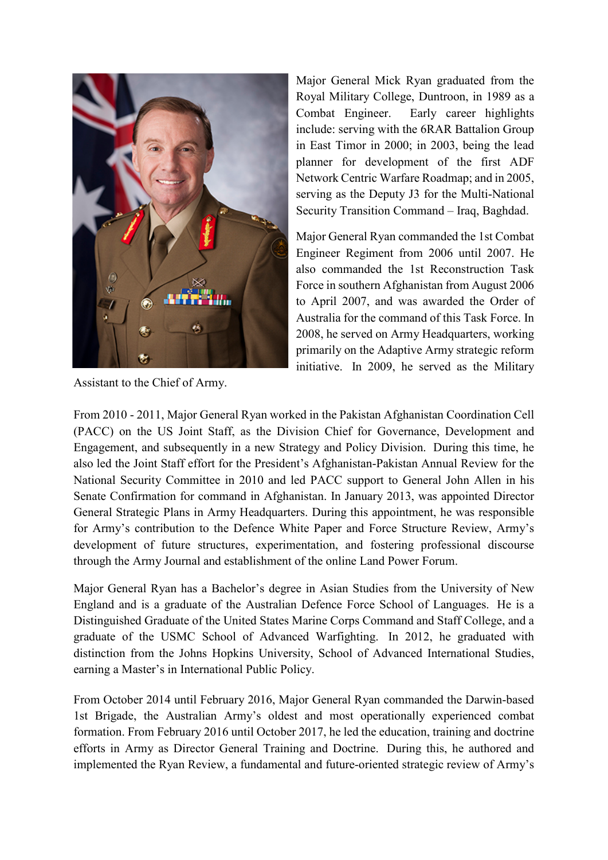

Assistant to the Chief of Army.

Major General Mick Ryan graduated from the Royal Military College, Duntroon, in 1989 as a Combat Engineer. Early career highlights include: serving with the 6RAR Battalion Group in East Timor in 2000; in 2003, being the lead planner for development of the first ADF Network Centric Warfare Roadmap; and in 2005, serving as the Deputy J3 for the Multi-National Security Transition Command – Iraq, Baghdad.

Major General Ryan commanded the 1st Combat Engineer Regiment from 2006 until 2007. He also commanded the 1st Reconstruction Task Force in southern Afghanistan from August 2006 to April 2007, and was awarded the Order of Australia for the command of this Task Force. In 2008, he served on Army Headquarters, working primarily on the Adaptive Army strategic reform initiative. In 2009, he served as the Military

From 2010 - 2011, Major General Ryan worked in the Pakistan Afghanistan Coordination Cell (PACC) on the US Joint Staff, as the Division Chief for Governance, Development and Engagement, and subsequently in a new Strategy and Policy Division. During this time, he also led the Joint Staff effort for the President's Afghanistan-Pakistan Annual Review for the National Security Committee in 2010 and led PACC support to General John Allen in his Senate Confirmation for command in Afghanistan. In January 2013, was appointed Director General Strategic Plans in Army Headquarters. During this appointment, he was responsible for Army's contribution to the Defence White Paper and Force Structure Review, Army's development of future structures, experimentation, and fostering professional discourse through the Army Journal and establishment of the online Land Power Forum.

Major General Ryan has a Bachelor's degree in Asian Studies from the University of New England and is a graduate of the Australian Defence Force School of Languages. He is a Distinguished Graduate of the United States Marine Corps Command and Staff College, and a graduate of the USMC School of Advanced Warfighting. In 2012, he graduated with distinction from the Johns Hopkins University, School of Advanced International Studies, earning a Master's in International Public Policy.

From October 2014 until February 2016, Major General Ryan commanded the Darwin-based 1st Brigade, the Australian Army's oldest and most operationally experienced combat formation. From February 2016 until October 2017, he led the education, training and doctrine efforts in Army as Director General Training and Doctrine. During this, he authored and implemented the Ryan Review, a fundamental and future-oriented strategic review of Army's